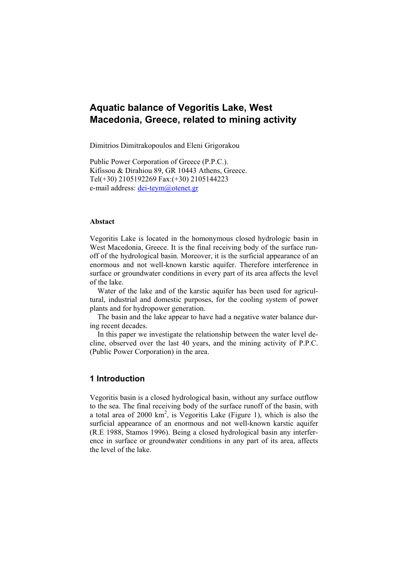# **Aquatic balance of Vegoritis Lake, West Macedonia, Greece, related to mining activity**

Dimitrios Dimitrakopoulos and Eleni Grigorakou

Public Power Corporation of Greece (P.P.C.). Kifissou & Dirahiou 89, GR 10443 Athens, Greece. Tel(+30) 2105192269 Fax:(+30) 2105144223 e-mail address: dei-teym@otenet.gr

#### **Abstact**

Vegoritis Lake is located in the homonymous closed hydrologic basin in West Macedonia, Greece. It is the final receiving body of the surface runoff of the hydrological basin. Moreover, it is the surficial appearance of an enormous and not well-known karstic aquifer. Therefore interference in surface or groundwater conditions in every part of its area affects the level of the lake.

Water of the lake and of the karstic aquifer has been used for agricultural, industrial and domestic purposes, for the cooling system of power plants and for hydropower generation.

The basin and the lake appear to have had a negative water balance during recent decades.

In this paper we investigate the relationship between the water level decline, observed over the last 40 years, and the mining activity of P.P.C. (Public Power Corporation) in the area.

## **1 Introduction**

Vegoritis basin is a closed hydrological basin, without any surface outflow to the sea. The final receiving body of the surface runoff of the basin, with a total area of 2000  $km^2$ , is Vegoritis Lake (Figure 1), which is also the surficial appearance of an enormous and not well-known karstic aquifer (R.E 1988, Stamos 1996). Being a closed hydrological basin any interference in surface or groundwater conditions in any part of its area, affects the level of the lake.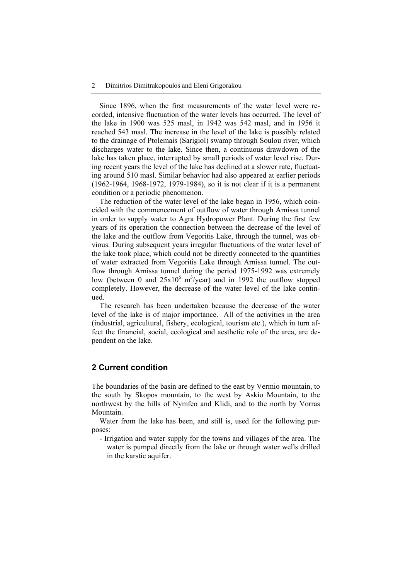Since 1896, when the first measurements of the water level were recorded, intensive fluctuation of the water levels has occurred. The level of the lake in 1900 was 525 masl, in 1942 was 542 masl, and in 1956 it reached 543 masl. The increase in the level of the lake is possibly related to the drainage of Ptolemais (Sarigiol) swamp through Soulou river, which discharges water to the lake. Since then, a continuous drawdown of the lake has taken place, interrupted by small periods of water level rise. During recent years the level of the lake has declined at a slower rate, fluctuating around 510 masl. Similar behavior had also appeared at earlier periods (1962-1964, 1968-1972, 1979-1984), so it is not clear if it is a permanent condition or a periodic phenomenon.

The reduction of the water level of the lake began in 1956, which coincided with the commencement of outflow of water through Arnissa tunnel in order to supply water to Agra Hydropower Plant. During the first few years of its operation the connection between the decrease of the level of the lake and the outflow from Vegoritis Lake, through the tunnel, was obvious. During subsequent years irregular fluctuations of the water level of the lake took place, which could not be directly connected to the quantities of water extracted from Vegoritis Lake through Arnissa tunnel. The outflow through Arnissa tunnel during the period 1975-1992 was extremely low (between 0 and  $25x10^6$  m<sup>3</sup>/year) and in 1992 the outflow stopped completely. However, the decrease of the water level of the lake continued.

The research has been undertaken because the decrease of the water level of the lake is of major importance. All of the activities in the area (industrial, agricultural, fishery, ecological, tourism etc.), which in turn affect the financial, social, ecological and aesthetic role of the area, are dependent on the lake.

## **2 Current condition**

The boundaries of the basin are defined to the east by Vermio mountain, to the south by Skopos mountain, to the west by Askio Mountain, to the northwest by the hills of Nymfeo and Klidi, and to the north by Vorras Mountain.

Water from the lake has been, and still is, used for the following purposes:

- Irrigation and water supply for the towns and villages of the area. The water is pumped directly from the lake or through water wells drilled in the karstic aquifer.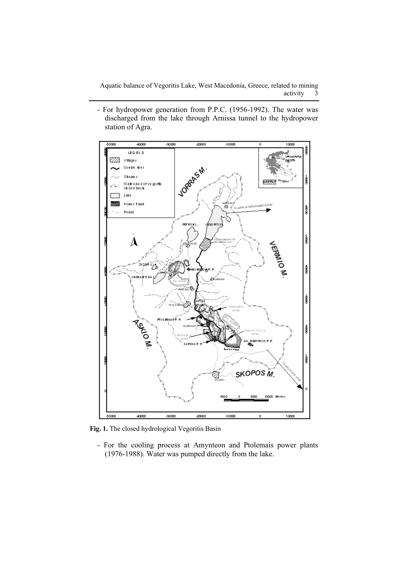Aquatic balance of Vegoritis Lake, West Macedonia, Greece, related to mining activity 3

- For hydropower generation from P.P.C. (1956-1992). The water was discharged from the lake through Arnissa tunnel to the hydropower station of Agra.



**Fig. 1.** The closed hydrological Vegoritis Basin

- For the cooling process at Amynteon and Ptolemais power plants (1976-1988). Water was pumped directly from the lake.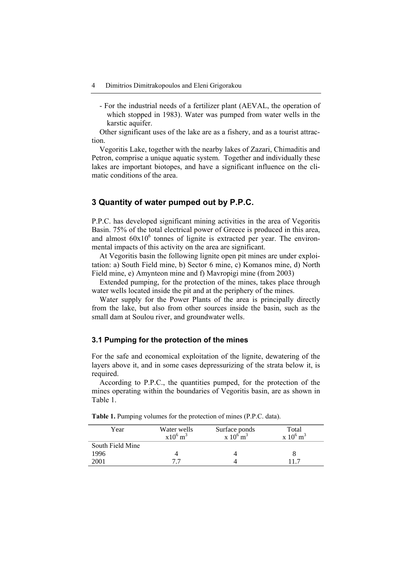- For the industrial needs of a fertilizer plant (AEVAL, the operation of which stopped in 1983). Water was pumped from water wells in the karstic aquifer.

Other significant uses of the lake are as a fishery, and as a tourist attraction.

Vegoritis Lake, together with the nearby lakes of Zazari, Chimaditis and Petron, comprise a unique aquatic system. Together and individually these lakes are important biotopes, and have a significant influence on the climatic conditions of the area.

## **3 Quantity of water pumped out by P.P.C.**

P.P.C. has developed significant mining activities in the area of Vegoritis Basin. 75% of the total electrical power of Greece is produced in this area, and almost  $60x10^6$  tonnes of lignite is extracted per year. The environmental impacts of this activity on the area are significant.

At Vegoritis basin the following lignite open pit mines are under exploitation: a) South Field mine, b) Sector 6 mine, c) Komanos mine, d) North Field mine, e) Amynteon mine and f) Mavropigi mine (from 2003)

Extended pumping, for the protection of the mines, takes place through water wells located inside the pit and at the periphery of the mines.

Water supply for the Power Plants of the area is principally directly from the lake, but also from other sources inside the basin, such as the small dam at Soulou river, and groundwater wells.

#### **3.1 Pumping for the protection of the mines**

For the safe and economical exploitation of the lignite, dewatering of the layers above it, and in some cases depressurizing of the strata below it, is required.

According to P.P.C., the quantities pumped, for the protection of the mines operating within the boundaries of Vegoritis basin, are as shown in Table 1.

| Year             | Water wells<br>$x10^6$ m <sup>3</sup> | Surface ponds<br>$x 10^{6}$ m <sup>3</sup> | Total<br>$x\ 10^6\,\mathrm{m}^3$ |
|------------------|---------------------------------------|--------------------------------------------|----------------------------------|
| South Field Mine |                                       |                                            |                                  |
| 1996             |                                       |                                            |                                  |
| 2001             |                                       |                                            |                                  |

**Table 1.** Pumping volumes for the protection of mines (P.P.C. data).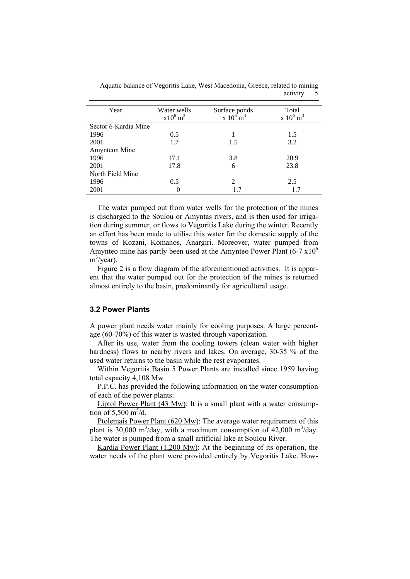| Year                 | Water wells<br>$x10^6$ m <sup>3</sup> | Surface ponds<br>$x 10^{6}$ m <sup>3</sup> | Total<br>$x\ 10^6\$ m <sup>3</sup> |
|----------------------|---------------------------------------|--------------------------------------------|------------------------------------|
| Sector 6-Kardia Mine |                                       |                                            |                                    |
| 1996                 | 0.5                                   |                                            | 1.5                                |
| 2001                 | 1.7                                   | 1.5                                        | 3.2                                |
| Amynteon Mine        |                                       |                                            |                                    |
| 1996                 | 17.1                                  | 3.8                                        | 20.9                               |
| 2001                 | 17.8                                  | 6                                          | 23.8                               |
| North Field Mine     |                                       |                                            |                                    |
| 1996                 | 0.5                                   | 2                                          | 2.5                                |
| 2001                 |                                       | 17                                         | 1.7                                |

Aquatic balance of Vegoritis Lake, West Macedonia, Greece, related to mining activity 5

The water pumped out from water wells for the protection of the mines is discharged to the Soulou or Amyntas rivers, and is then used for irrigation during summer, or flows to Vegoritis Lake during the winter. Recently an effort has been made to utilise this water for the domestic supply of the towns of Kozani, Komanos, Anargiri. Moreover, water pumped from Amynteo mine has partly been used at the Amynteo Power Plant  $(6-7 \times 10^6)$  $m^3$ /year).

Figure 2 is a flow diagram of the aforementioned activities. It is apparent that the water pumped out for the protection of the mines is returned almost entirely to the basin, predominantly for agricultural usage.

### **3.2 Power Plants**

A power plant needs water mainly for cooling purposes. A large percentage (60-70%) of this water is wasted through vaporization.

After its use, water from the cooling towers (clean water with higher hardness) flows to nearby rivers and lakes. On average, 30-35 % of the used water returns to the basin while the rest evaporates.

Within Vegoritis Basin 5 Power Plants are installed since 1959 having total capacity 4,108 Mw

P.P.C. has provided the following information on the water consumption of each of the power plants:

Liptol Power Plant (43 Mw): It is a small plant with a water consumption of 5,500 m<sup>3</sup>/d.

Ptolemais Power Plant (620 Mw): The average water requirement of this plant is 30,000 m<sup>3</sup>/day, with a maximum consumption of 42,000 m<sup>3</sup>/day. The water is pumped from a small artificial lake at Soulou River.

Kardia Power Plant (1,200 Mw): At the beginning of its operation, the water needs of the plant were provided entirely by Vegoritis Lake. How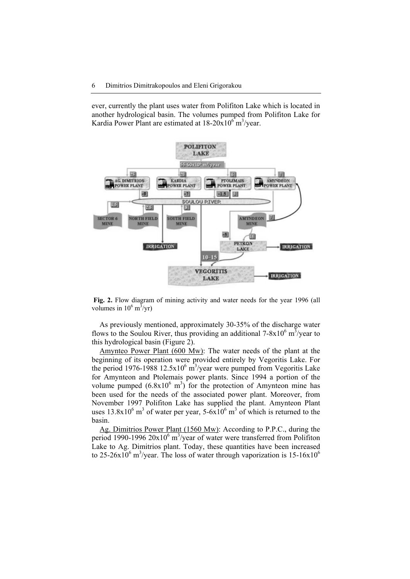ever, currently the plant uses water from Polifiton Lake which is located in another hydrological basin. The volumes pumped from Polifiton Lake for Kardia Power Plant are estimated at  $18-20x10^6$  m<sup>3</sup>/year.



**Fig. 2.** Flow diagram of mining activity and water needs for the year 1996 (all volumes in  $10^6 \text{ m}^3/\text{yr}$ )

As previously mentioned, approximately 30-35% of the discharge water flows to the Soulou River, thus providing an additional  $7-8\times10^6$  m<sup>3</sup>/year to this hydrological basin (Figure 2).

Amynteo Power Plant (600 Mw): The water needs of the plant at the beginning of its operation were provided entirely by Vegoritis Lake. For the period 1976-1988 12.5 $x10^6$  m<sup>3</sup>/year were pumped from Vegoritis Lake for Amynteon and Ptolemais power plants. Since 1994 a portion of the volume pumped  $(6.8x10^6 \text{ m}^3)$  for the protection of Amynteon mine has been used for the needs of the associated power plant. Moreover, from November 1997 Polifiton Lake has supplied the plant. Amynteon Plant uses  $13.8 \times 10^6$  m<sup>3</sup> of water per year,  $5-\frac{6 \times 10^6}{10^6}$  m<sup>3</sup> of which is returned to the basin.

Ag. Dimitrios Power Plant (1560 Mw): According to P.P.C., during the period 1990-1996  $20x10^6$  m<sup>3</sup>/year of water were transferred from Polifiton Lake to Ag. Dimitrios plant. Today, these quantities have been increased to 25-26x10<sup>6</sup> m<sup>3</sup>/year. The loss of water through vaporization is 15-16x10<sup>6</sup>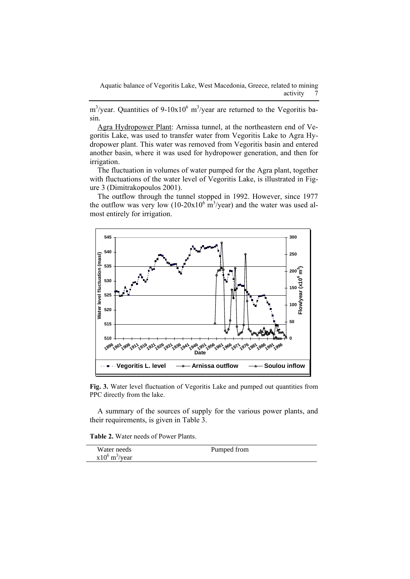Aquatic balance of Vegoritis Lake, West Macedonia, Greece, related to mining activity

 $\text{m}^3/\text{year}$ . Quantities of 9-10x10<sup>6</sup> m<sup>3</sup>/year are returned to the Vegoritis basin.

Agra Hydropower Plant: Arnissa tunnel, at the northeastern end of Vegoritis Lake, was used to transfer water from Vegoritis Lake to Agra Hydropower plant. This water was removed from Vegoritis basin and entered another basin, where it was used for hydropower generation, and then for irrigation.

The fluctuation in volumes of water pumped for the Agra plant, together with fluctuations of the water level of Vegoritis Lake, is illustrated in Figure 3 (Dimitrakopoulos 2001).

The outflow through the tunnel stopped in 1992. However, since 1977 the outflow was very low  $(10{\text -}20x10^6 \text{ m}^3/\text{year})$  and the water was used almost entirely for irrigation.



**Fig. 3.** Water level fluctuation of Vegoritis Lake and pumped out quantities from PPC directly from the lake.

A summary of the sources of supply for the various power plants, and their requirements, is given in Table 3.

**Table 2.** Water needs of Power Plants.

| Water needs                  | Pumped from |
|------------------------------|-------------|
| $x10^6$ m <sup>3</sup> /year |             |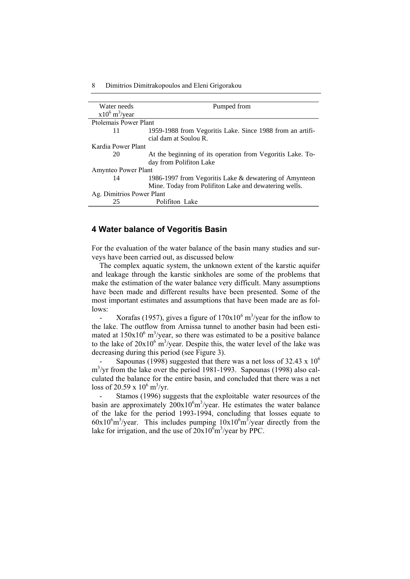#### 8 Dimitrios Dimitrakopoulos and Eleni Grigorakou

| Water needs                  | Pumped from                                                |  |
|------------------------------|------------------------------------------------------------|--|
| $x10^6$ m <sup>3</sup> /year |                                                            |  |
| Ptolemais Power Plant        |                                                            |  |
| 11                           | 1959-1988 from Vegoritis Lake. Since 1988 from an artifi-  |  |
|                              | cial dam at Soulou R.                                      |  |
| Kardia Power Plant           |                                                            |  |
| 20                           | At the beginning of its operation from Vegoritis Lake. To- |  |
|                              | day from Polifiton Lake                                    |  |
| Amynteo Power Plant          |                                                            |  |
| 14                           | 1986-1997 from Vegoritis Lake & dewatering of Amynteon     |  |
|                              | Mine. Today from Polifiton Lake and dewatering wells.      |  |
| Ag. Dimitrios Power Plant    |                                                            |  |
| 25                           | Polifiton Lake                                             |  |

### **4 Water balance of Vegoritis Basin**

For the evaluation of the water balance of the basin many studies and surveys have been carried out, as discussed below

The complex aquatic system, the unknown extent of the karstic aquifer and leakage through the karstic sinkholes are some of the problems that make the estimation of the water balance very difficult. Many assumptions have been made and different results have been presented. Some of the most important estimates and assumptions that have been made are as follows:

- Xorafas (1957), gives a figure of  $170x10^6$  m<sup>3</sup>/year for the inflow to the lake. The outflow from Arnissa tunnel to another basin had been estimated at  $150x10^6$  m<sup>3</sup>/year, so there was estimated to be a positive balance to the lake of  $20x10^6$  m<sup>3</sup>/year. Despite this, the water level of the lake was decreasing during this period (see Figure 3).

Sapounas (1998) suggested that there was a net loss of 32.43 x  $10^6$ m<sup>3</sup>/yr from the lake over the period 1981-1993. Sapounas (1998) also calculated the balance for the entire basin, and concluded that there was a net loss of 20.59 x  $10^6 \text{ m}^3/\text{yr}$ .

Stamos (1996) suggests that the exploitable water resources of the basin are approximately  $200x10<sup>6</sup>m<sup>3</sup>/year$ . He estimates the water balance of the lake for the period 1993-1994, concluding that losses equate to  $60x10<sup>6</sup>m<sup>3</sup>/year$ . This includes pumping  $10x10<sup>6</sup>m<sup>3</sup>/year$  directly from the lake for irrigation, and the use of  $20x10<sup>6</sup>m<sup>3</sup>/year$  by PPC.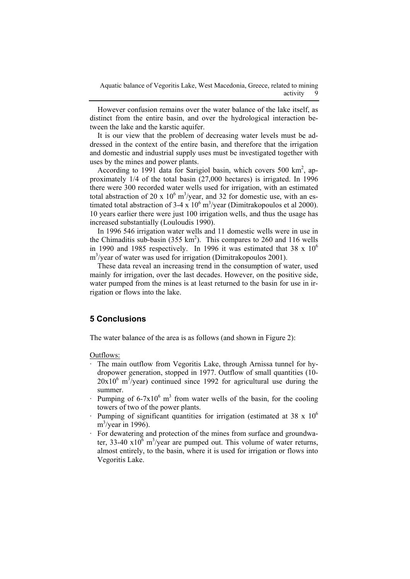However confusion remains over the water balance of the lake itself, as distinct from the entire basin, and over the hydrological interaction between the lake and the karstic aquifer.

It is our view that the problem of decreasing water levels must be addressed in the context of the entire basin, and therefore that the irrigation and domestic and industrial supply uses must be investigated together with uses by the mines and power plants.

According to 1991 data for Sarigiol basin, which covers 500  $\text{km}^2$ , approximately 1/4 of the total basin (27,000 hectares) is irrigated. In 1996 there were 300 recorded water wells used for irrigation, with an estimated total abstraction of 20 x  $10^6$  m<sup>3</sup>/year, and 32 for domestic use, with an estimated total abstraction of 3-4 x  $10^6$  m<sup>3</sup>/year (Dimitrakopoulos et al 2000). 10 years earlier there were just 100 irrigation wells, and thus the usage has increased substantially (Louloudis 1990).

In 1996 546 irrigation water wells and 11 domestic wells were in use in the Chimaditis sub-basin  $(355 \text{ km}^2)$ . This compares to 260 and 116 wells in 1990 and 1985 respectively. In 1996 it was estimated that  $38 \times 10^6$ m<sup>3</sup>/year of water was used for irrigation (Dimitrakopoulos 2001).

These data reveal an increasing trend in the consumption of water, used mainly for irrigation, over the last decades. However, on the positive side, water pumped from the mines is at least returned to the basin for use in irrigation or flows into the lake.

# **5 Conclusions**

The water balance of the area is as follows (and shown in Figure 2):

Outflows:

- The main outflow from Vegoritis Lake, through Arnissa tunnel for hydropower generation, stopped in 1977. Outflow of small quantities (10-  $20x10^6$  m<sup>3</sup>/year) continued since 1992 for agricultural use during the summer.
- Pumping of  $6-7x10^6$  m<sup>3</sup> from water wells of the basin, for the cooling towers of two of the power plants.
- Pumping of significant quantities for irrigation (estimated at  $38 \times 10^6$ )  $\text{m}^3/\text{year}$  in 1996).
- For dewatering and protection of the mines from surface and groundwater, 33-40  $x10^6$  m<sup>3</sup>/year are pumped out. This volume of water returns, almost entirely, to the basin, where it is used for irrigation or flows into Vegoritis Lake.